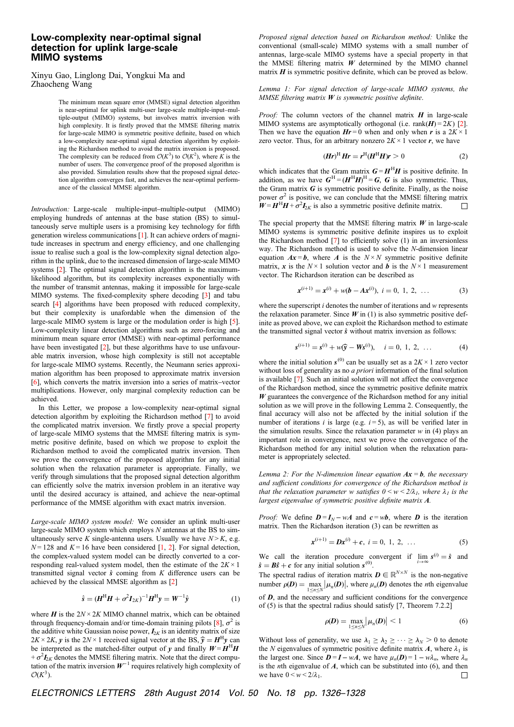## Low-complexity near-optimal signal detection for uplink large-scale MIMO systems

Xinyu Gao, Linglong Dai, Yongkui Ma and Zhaocheng Wang

> The minimum mean square error (MMSE) signal detection algorithm is near-optimal for uplink multi-user large-scale multiple-input–multiple-output (MIMO) systems, but involves matrix inversion with high complexity. It is firstly proved that the MMSE filtering matrix for large-scale MIMO is symmetric positive definite, based on which a low-complexity near-optimal signal detection algorithm by exploiting the Richardson method to avoid the matrix inversion is proposed. The complexity can be reduced from  $\mathcal{O}(K^3)$  to  $\mathcal{O}(K^2)$ , where K is the number of users. The convergence proof of the proposed algorithm is also provided. Simulation results show that the proposed signal detection algorithm converges fast, and achieves the near-optimal performance of the classical MMSE algorithm.

Introduction: Large-scale multiple-input–multiple-output (MIMO) employing hundreds of antennas at the base station (BS) to simultaneously serve multiple users is a promising key technology for fifth generation wireless communications [1]. It can achieve orders of magnitude increases in spectrum and energy efficiency, and one challenging issue to realise such a goal is the low-complexity signal detection algorithm in the uplink, due to the increased dimension of large-scale MIMO systems [2]. The optimal signal detection algorithm is the maximumlikelihood algorithm, but its complexity increases exponentially with the number of transmit antennas, making it impossible for large-scale MIMO systems. The fixed-complexity sphere decoding [3] and tabu search [4] algorithms have been proposed with reduced complexity, but their complexity is unafordable when the dimension of the large-scale MIMO system is large or the modulation order is high [5]. Low-complexity linear detection algorithms such as zero-forcing and minimum mean square error (MMSE) with near-optimal performance have been investigated [2], but these algorithms have to use unfavourable matrix inversion, whose high complexity is still not acceptable for large-scale MIMO systems. Recently, the Neumann series approximation algorithm has been proposed to approximate matrix inversion [6], which converts the matrix inversion into a series of matrix–vector multiplications. However, only marginal complexity reduction can be achieved.

In this Letter, we propose a low-complexity near-optimal signal detection algorithm by exploiting the Richardson method [7] to avoid the complicated matrix inversion. We firstly prove a special property of large-scale MIMO systems that the MMSE filtering matrix is symmetric positive definite, based on which we propose to exploit the Richardson method to avoid the complicated matrix inversion. Then we prove the convergence of the proposed algorithm for any initial solution when the relaxation parameter is appropriate. Finally, we verify through simulations that the proposed signal detection algorithm can efficiently solve the matrix inversion problem in an iterative way until the desired accuracy is attained, and achieve the near-optimal performance of the MMSE algorithm with exact matrix inversion.

Large-scale MIMO system model: We consider an uplink multi-user large-scale MIMO system which employs  $N$  antennas at the BS to simultaneously serve K single-antenna users. Usually we have  $N > K$ , e.g.  $N = 128$  and  $K = 16$  have been considered [1, 2]. For signal detection, the complex-valued system model can be directly converted to a corresponding real-valued system model, then the estimate of the  $2K \times 1$ transmitted signal vector  $\hat{s}$  coming from K difference users can be achieved by the classical MMSE algorithm as [2]

$$
\hat{s} = (H^{\rm H}H + \sigma^2 I_{2K})^{-1}H^{\rm H}y = W^{-1}\hat{y}
$$
 (1)

where  $H$  is the  $2N \times 2K$  MIMO channel matrix, which can be obtained through frequency-domain and/or time-domain training pilots [8],  $\sigma^2$  is the additive white Gaussian noise power,  $I_{2K}$  is an identity matrix of size  $2K \times 2K$ , y is the  $2N \times 1$  received signal vector at the BS,  $\hat{y} = H^{H}y$  can be interpreted as the matched-filter output of y and finally  $W = H<sup>H</sup>H$  $+ \sigma^2 I_{2K}$  denotes the MMSE filtering matrix. Note that the direct computation of the matrix inversion  $W^{-1}$  requires relatively high complexity of  $\mathcal{O}(K^3)$ .

Proposed signal detection based on Richardson method: Unlike the conventional (small-scale) MIMO systems with a small number of antennas, large-scale MIMO systems have a special property in that the MMSE filtering matrix  $\boldsymbol{W}$  determined by the MIMO channel matrix  $H$  is symmetric positive definite, which can be proved as below.

Lemma 1: For signal detection of large-scale MIMO systems, the MMSE filtering matrix  $W$  is symmetric positive definite.

*Proof:* The column vectors of the channel matrix  $H$  in large-scale MIMO systems are asymptotically orthogonal (i.e. rank $(H) = 2K$ ) [2]. Then we have the equation  $Hr = 0$  when and only when r is a  $2K \times 1$ zero vector. Thus, for an arbitrary nonzero  $2K \times 1$  vector r, we have

$$
(\boldsymbol{H}\boldsymbol{r})^{\mathrm{H}}\boldsymbol{H}\boldsymbol{r} = \boldsymbol{r}^{\mathrm{H}}(\boldsymbol{H}^{\mathrm{H}}\boldsymbol{H})\boldsymbol{r} > 0 \tag{2}
$$

which indicates that the Gram matrix  $G = H<sup>H</sup>H$  is positive definite. In addition, as we have  $G^H = (H^H H)^H = G$ , G is also symmetric. Thus, the Gram matrix  $\boldsymbol{G}$  is symmetric positive definite. Finally, as the noise power  $\sigma^2$  is positive, we can conclude that the MMSE filtering matrix  $W = H<sup>H</sup> H + \sigma<sup>2</sup> I<sub>2K</sub>$  is also a symmetric positive definite matrix.

The special property that the MMSE filtering matrix  $W$  in large-scale MIMO systems is symmetric positive definite inspires us to exploit the Richardson method  $[7]$  to efficiently solve  $(1)$  in an inversionless way. The Richardson method is used to solve the N-dimension linear equation  $Ax = b$ , where A is the  $N \times N$  symmetric positive definite matrix, x is the  $N \times 1$  solution vector and b is the  $N \times 1$  measurement vector. The Richardson iteration can be described as

$$
\mathbf{x}^{(i+1)} = \mathbf{x}^{(i)} + w(\mathbf{b} - A\mathbf{x}^{(i)}), \ i = 0, 1, 2, \ \dots \tag{3}
$$

where the superscript  $i$  denotes the number of iterations and  $w$  represents the relaxation parameter. Since  $W$  in (1) is also symmetric positive definite as proved above, we can exploit the Richardson method to estimate the transmitted signal vector  $\hat{s}$  without matrix inversion as follows:

$$
\mathbf{s}^{(i+1)} = \mathbf{s}^{(i)} + w(\widehat{\mathbf{y}} - \mathbf{W}\mathbf{s}^{(i)}), \quad i = 0, 1, 2, \dots
$$
 (4)

where the initial solution  $s^{(0)}$  can be usually set as a  $2K \times 1$  zero vector without loss of generality as no *a priori* information of the final solution is available [7]. Such an initial solution will not affect the convergence of the Richardson method, since the symmetric positive definite matrix  $W$  guarantees the convergence of the Richardson method for any initial solution as we will prove in the following Lemma 2. Consequently, the final accuracy will also not be affected by the initial solution if the number of iterations *i* is large (e.g.  $i = 5$ ), as will be verified later in the simulation results. Since the relaxation parameter  $w$  in (4) plays an important role in convergence, next we prove the convergence of the Richardson method for any initial solution when the relaxation parameter is appropriately selected.

Lemma 2: For the N-dimension linear equation  $Ax = b$ , the necessary and sufficient conditions for convergence of the Richardson method is that the relaxation parameter w satisfies  $0 \leq w \leq 2/\lambda_1$ , where  $\lambda_1$  is the largest eigenvalue of symmetric positive definite matrix A.

*Proof:* We define  $D = I_N - wA$  and  $c = wb$ , where D is the iteration matrix. Then the Richardson iteration (3) can be rewritten as

$$
\mathbf{x}^{(i+1)} = \mathbf{D}\mathbf{x}^{(i)} + \mathbf{c}, \ i = 0, 1, 2, \ \dots \tag{5}
$$

We call the iteration procedure convergent if  $\lim_{i \to \infty} s^{(i)} = \hat{s}$  and  $\hat{s} = B\hat{s} + c$  for any initial solution  $s^{(0)}$ .

The spectral radius of iteration matrix  $\mathbf{D} \in \mathbb{R}^{N \times N}$  is the non-negative number  $\rho(D) = \max_{1 \leq n \leq N} |\mu_n(D)|$ , where  $\mu_n(D)$  denotes the *n*th eigenvalue of D, and the necessary and sufficient conditions for the convergence of (5) is that the spectral radius should satisfy [7, Theorem 7.2.2]

$$
\rho(\boldsymbol{D}) = \max_{1 \le n \le N} |\mu_n(\boldsymbol{D})| < 1 \tag{6}
$$

Without loss of generality, we use  $\lambda_1 \geq \lambda_2 \geq \cdots \geq \lambda_N > 0$  to denote the N eigenvalues of symmetric positive definite matrix A, where  $\lambda_1$  is the largest one. Since  $\mathbf{D} = \mathbf{I} - w\mathbf{A}$ , we have  $\mu_n(\mathbf{D}) = 1 - w\lambda_n$ , where  $\lambda_n$ is the *n*th eigenvalue of  $A$ , which can be substituted into (6), and then we have  $0 \le w \le 2/\lambda_1$ .

ELECTRONICS LETTERS 28th August 2014 Vol. 50 No. 18 pp. 1326–1328